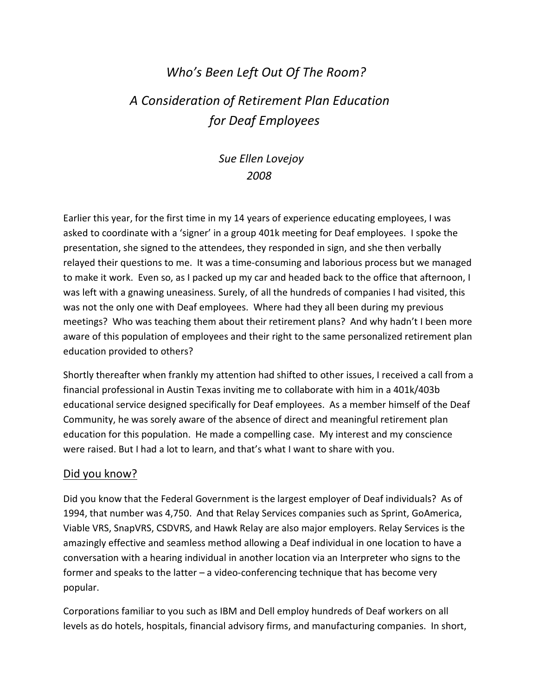# *Who's Been Left Out Of The Room? A Consideration of Retirement Plan Education for Deaf Employees*

# *Sue Ellen Lovejoy 2008*

Earlier this year, for the first time in my 14 years of experience educating employees, I was asked to coordinate with a 'signer' in a group 401k meeting for Deaf employees. I spoke the presentation, she signed to the attendees, they responded in sign, and she then verbally relayed their questions to me. It was a time-consuming and laborious process but we managed to make it work. Even so, as I packed up my car and headed back to the office that afternoon, I was left with a gnawing uneasiness. Surely, of all the hundreds of companies I had visited, this was not the only one with Deaf employees. Where had they all been during my previous meetings? Who was teaching them about their retirement plans? And why hadn't I been more aware of this population of employees and their right to the same personalized retirement plan education provided to others?

Shortly thereafter when frankly my attention had shifted to other issues, I received a call from a financial professional in Austin Texas inviting me to collaborate with him in a 401k/403b educational service designed specifically for Deaf employees. As a member himself of the Deaf Community, he was sorely aware of the absence of direct and meaningful retirement plan education for this population. He made a compelling case. My interest and my conscience were raised. But I had a lot to learn, and that's what I want to share with you.

#### Did you know?

Did you know that the Federal Government is the largest employer of Deaf individuals? As of 1994, that number was 4,750. And that Relay Services companies such as Sprint, GoAmerica, Viable VRS, SnapVRS, CSDVRS, and Hawk Relay are also major employers. Relay Services is the amazingly effective and seamless method allowing a Deaf individual in one location to have a conversation with a hearing individual in another location via an Interpreter who signs to the former and speaks to the latter – a video-conferencing technique that has become very popular.

Corporations familiar to you such as IBM and Dell employ hundreds of Deaf workers on all levels as do hotels, hospitals, financial advisory firms, and manufacturing companies. In short,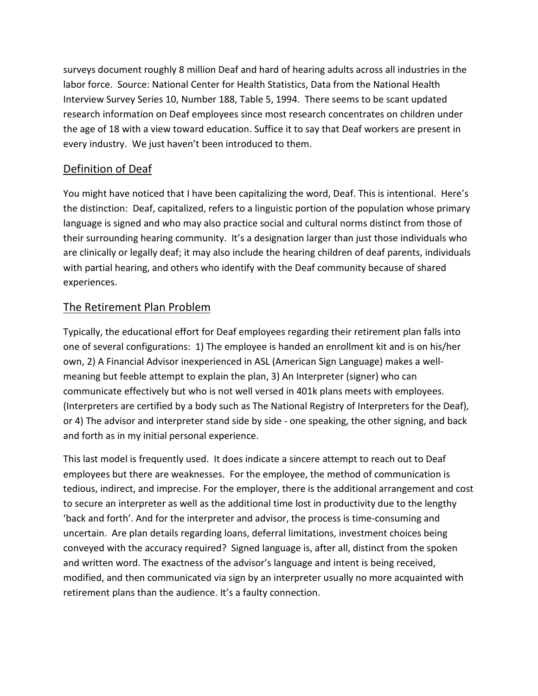surveys document roughly 8 million Deaf and hard of hearing adults across all industries in the labor force. Source: National Center for Health Statistics, Data from the National Health Interview Survey Series 10, Number 188, Table 5, 1994. There seems to be scant updated research information on Deaf employees since most research concentrates on children under the age of 18 with a view toward education. Suffice it to say that Deaf workers are present in every industry. We just haven't been introduced to them.

# Definition of Deaf

You might have noticed that I have been capitalizing the word, Deaf. This is intentional. Here's the distinction: Deaf, capitalized, refers to a linguistic portion of the population whose primary language is signed and who may also practice social and cultural norms distinct from those of their surrounding hearing community. It's a designation larger than just those individuals who are clinically or legally deaf; it may also include the hearing children of deaf parents, individuals with partial hearing, and others who identify with the Deaf community because of shared experiences.

#### The Retirement Plan Problem

Typically, the educational effort for Deaf employees regarding their retirement plan falls into one of several configurations: 1) The employee is handed an enrollment kit and is on his/her own, 2) A Financial Advisor inexperienced in ASL (American Sign Language) makes a wellmeaning but feeble attempt to explain the plan, 3) An Interpreter (signer) who can communicate effectively but who is not well versed in 401k plans meets with employees. (Interpreters are certified by a body such as The National Registry of Interpreters for the Deaf), or 4) The advisor and interpreter stand side by side - one speaking, the other signing, and back and forth as in my initial personal experience.

This last model is frequently used. It does indicate a sincere attempt to reach out to Deaf employees but there are weaknesses. For the employee, the method of communication is tedious, indirect, and imprecise. For the employer, there is the additional arrangement and cost to secure an interpreter as well as the additional time lost in productivity due to the lengthy 'back and forth'. And for the interpreter and advisor, the process is time-consuming and uncertain. Are plan details regarding loans, deferral limitations, investment choices being conveyed with the accuracy required? Signed language is, after all, distinct from the spoken and written word. The exactness of the advisor's language and intent is being received, modified, and then communicated via sign by an interpreter usually no more acquainted with retirement plans than the audience. It's a faulty connection.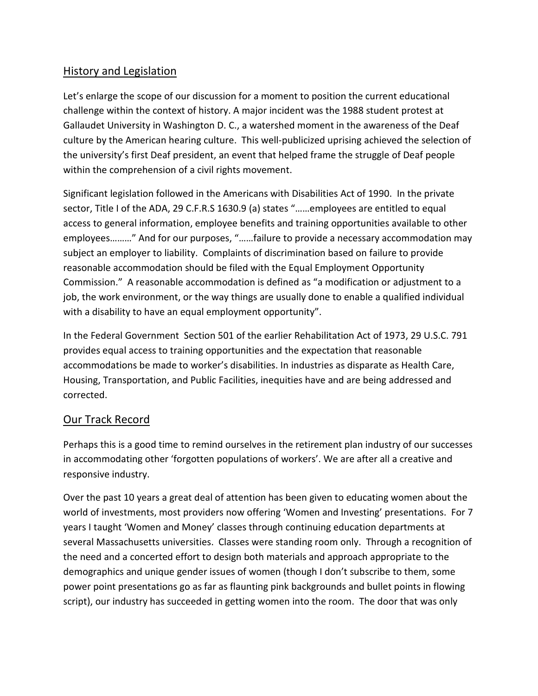## History and Legislation

Let's enlarge the scope of our discussion for a moment to position the current educational challenge within the context of history. A major incident was the 1988 student protest at Gallaudet University in Washington D. C., a watershed moment in the awareness of the Deaf culture by the American hearing culture. This well-publicized uprising achieved the selection of the university's first Deaf president, an event that helped frame the struggle of Deaf people within the comprehension of a civil rights movement.

Significant legislation followed in the Americans with Disabilities Act of 1990. In the private sector, Title I of the ADA, 29 C.F.R.S 1630.9 (a) states "……employees are entitled to equal access to general information, employee benefits and training opportunities available to other employees………" And for our purposes, "……failure to provide a necessary accommodation may subject an employer to liability. Complaints of discrimination based on failure to provide reasonable accommodation should be filed with the Equal Employment Opportunity Commission." A reasonable accommodation is defined as "a modification or adjustment to a job, the work environment, or the way things are usually done to enable a qualified individual with a disability to have an equal employment opportunity".

In the Federal Government Section 501 of the earlier Rehabilitation Act of 1973, 29 U.S.C. 791 provides equal access to training opportunities and the expectation that reasonable accommodations be made to worker's disabilities. In industries as disparate as Health Care, Housing, Transportation, and Public Facilities, inequities have and are being addressed and corrected.

#### Our Track Record

Perhaps this is a good time to remind ourselves in the retirement plan industry of our successes in accommodating other 'forgotten populations of workers'. We are after all a creative and responsive industry.

Over the past 10 years a great deal of attention has been given to educating women about the world of investments, most providers now offering 'Women and Investing' presentations. For 7 years I taught 'Women and Money' classes through continuing education departments at several Massachusetts universities. Classes were standing room only. Through a recognition of the need and a concerted effort to design both materials and approach appropriate to the demographics and unique gender issues of women (though I don't subscribe to them, some power point presentations go as far as flaunting pink backgrounds and bullet points in flowing script), our industry has succeeded in getting women into the room. The door that was only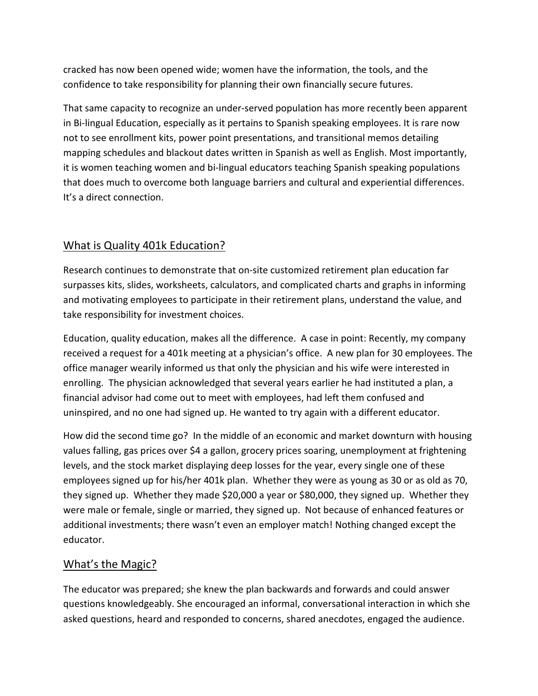cracked has now been opened wide; women have the information, the tools, and the confidence to take responsibility for planning their own financially secure futures.

That same capacity to recognize an under-served population has more recently been apparent in Bi-lingual Education, especially as it pertains to Spanish speaking employees. It is rare now not to see enrollment kits, power point presentations, and transitional memos detailing mapping schedules and blackout dates written in Spanish as well as English. Most importantly, it is women teaching women and bi-lingual educators teaching Spanish speaking populations that does much to overcome both language barriers and cultural and experiential differences. It's a direct connection.

# What is Quality 401k Education?

Research continues to demonstrate that on-site customized retirement plan education far surpasses kits, slides, worksheets, calculators, and complicated charts and graphs in informing and motivating employees to participate in their retirement plans, understand the value, and take responsibility for investment choices.

Education, quality education, makes all the difference. A case in point: Recently, my company received a request for a 401k meeting at a physician's office. A new plan for 30 employees. The office manager wearily informed us that only the physician and his wife were interested in enrolling. The physician acknowledged that several years earlier he had instituted a plan, a financial advisor had come out to meet with employees, had left them confused and uninspired, and no one had signed up. He wanted to try again with a different educator.

How did the second time go? In the middle of an economic and market downturn with housing values falling, gas prices over \$4 a gallon, grocery prices soaring, unemployment at frightening levels, and the stock market displaying deep losses for the year, every single one of these employees signed up for his/her 401k plan. Whether they were as young as 30 or as old as 70, they signed up. Whether they made \$20,000 a year or \$80,000, they signed up. Whether they were male or female, single or married, they signed up. Not because of enhanced features or additional investments; there wasn't even an employer match! Nothing changed except the educator.

## What's the Magic?

The educator was prepared; she knew the plan backwards and forwards and could answer questions knowledgeably. She encouraged an informal, conversational interaction in which she asked questions, heard and responded to concerns, shared anecdotes, engaged the audience.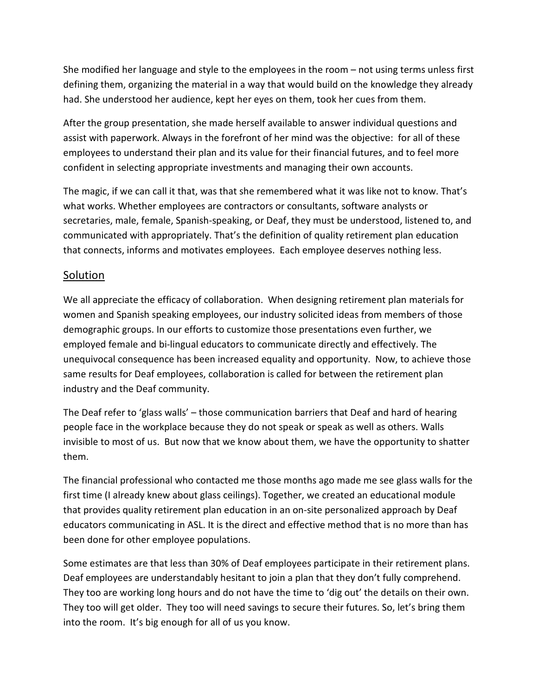She modified her language and style to the employees in the room – not using terms unless first defining them, organizing the material in a way that would build on the knowledge they already had. She understood her audience, kept her eyes on them, took her cues from them.

After the group presentation, she made herself available to answer individual questions and assist with paperwork. Always in the forefront of her mind was the objective: for all of these employees to understand their plan and its value for their financial futures, and to feel more confident in selecting appropriate investments and managing their own accounts.

The magic, if we can call it that, was that she remembered what it was like not to know. That's what works. Whether employees are contractors or consultants, software analysts or secretaries, male, female, Spanish-speaking, or Deaf, they must be understood, listened to, and communicated with appropriately. That's the definition of quality retirement plan education that connects, informs and motivates employees. Each employee deserves nothing less.

#### Solution

We all appreciate the efficacy of collaboration. When designing retirement plan materials for women and Spanish speaking employees, our industry solicited ideas from members of those demographic groups. In our efforts to customize those presentations even further, we employed female and bi-lingual educators to communicate directly and effectively. The unequivocal consequence has been increased equality and opportunity. Now, to achieve those same results for Deaf employees, collaboration is called for between the retirement plan industry and the Deaf community.

The Deaf refer to 'glass walls' – those communication barriers that Deaf and hard of hearing people face in the workplace because they do not speak or speak as well as others. Walls invisible to most of us. But now that we know about them, we have the opportunity to shatter them.

The financial professional who contacted me those months ago made me see glass walls for the first time (I already knew about glass ceilings). Together, we created an educational module that provides quality retirement plan education in an on-site personalized approach by Deaf educators communicating in ASL. It is the direct and effective method that is no more than has been done for other employee populations.

Some estimates are that less than 30% of Deaf employees participate in their retirement plans. Deaf employees are understandably hesitant to join a plan that they don't fully comprehend. They too are working long hours and do not have the time to 'dig out' the details on their own. They too will get older. They too will need savings to secure their futures. So, let's bring them into the room. It's big enough for all of us you know.